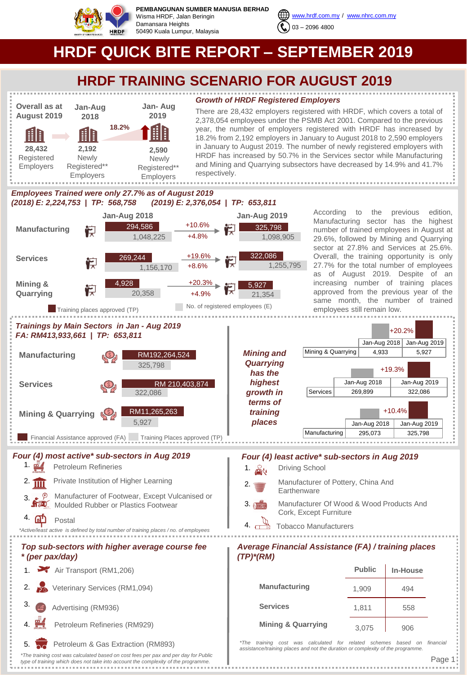

**PEMBANGUNAN SUMBER MANUSIA BERHAD** Wisma HRDF, Jalan Beringin Damansara Heights 50490 Kuala Lumpur, Malaysia



**HRDF QUICK BITE REPORT – SEPTEMBER 2019**

## **HRDF TRAINING SCENARIO FOR AUGUST 2019**

*Growth of HRDF Registered Employers*



There are 28,432 employers registered with HRDF, which covers a total of 2,378,054 employees under the PSMB Act 2001. Compared to the previous year, the number of employers registered with HRDF has increased by 18.2% from 2,192 employers in January to August 2018 to 2,590 employers in January to August 2019. The number of newly registered employers with HRDF has increased by 50.7% in the Services sector while Manufacturing and Mining and Quarrying subsectors have decreased by 14.9% and 41.7% respectively.

## *Employees Trained were only 27.7% as of August 2019 (2018) E: 2,224,753 | TP: 568,758 (2019) E: 2,376,054 | TP: 653,811*



According to the previous edition, Manufacturing sector has the highest number of trained employees in August at 29.6%, followed by Mining and Quarrying sector at 27.8% and Services at 25.6%. Overall, the training opportunity is only 27.7% for the total number of employees as of August 2019. Despite of an increasing number of training places approved from the previous year of the same month, the number of trained employees still remain low.

Jan-Aug 2018 Jan-Aug 2019

Jan-Aug 2018 Jan-Aug 2019

+10.4%

+19.3%

Jan-Aug 2018 Jan-Aug 2019

+20.2%



- 1.  $\mathbf{m}$ Petroleum Refineries Private Institution of Higher Learning
- Manufacturer of Footwear, Except Vulcanised or  $2.$   $\overline{III}$ 3.
- Moulded Rubber or Plastics Footwear

## 4 **at** Postal

*\*Active/least active is defined by total number of training places / no. of employees* 

## *Top sub-sectors with higher average course fee \* (per pax/day)*

- 1. Air Transport (RM1,206)
- 2. So Veterinary Services (RM1,094)
- 3. Advertising (RM936)
- Petroleum Refineries (RM929)
- 5. Petroleum & Gas Extraction (RM893)

*\*The training cost was calculated based on cost fees per pax and per day for Public type of training which does not take into account the complexity of the programme.* 

## *Four (4) most active\* sub-sectors in Aug 2019 Four (4) least active\* sub-sectors in Aug 2019*

- Driving School Manufacturer of Pottery, China And **Earthenware**
- $3.0$ Manufacturer Of Wood & Wood Products And Cork, Except Furniture
- **Tobacco Manufacturers**

## *Average Financial Assistance (FA) / training places (TP)\*(RM)*

|                               | <b>Public</b> | <b>In-House</b> |
|-------------------------------|---------------|-----------------|
| Manufacturing                 | 1,909         | 494             |
| <b>Services</b>               | 1,811         | 558             |
| <b>Mining &amp; Quarrying</b> | 3,075         | 906             |

*\*The training cost was calculated for related schemes based on financial assistance/training places and not the duration or complexity of the programme.*